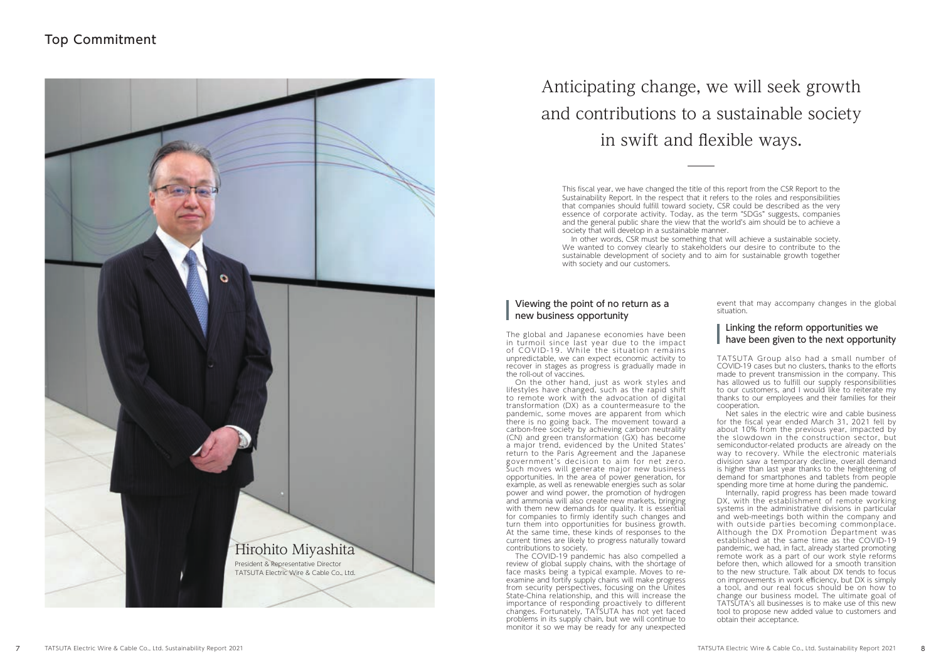## Top Commitment

# Anticipating change, we will seek growth and contributions to a sustainable society in swift and flexible ways.

This fiscal year, we have changed the title of this report from the CSR Report to the Sustainability Report. In the respect that it refers to the roles and responsibilities that companies should fulfill toward society, CSR could be described as the very essence of corporate activity. Today, as the term "SDGs" suggests, companies and the general public share the view that the world's aim should be to achieve a society that will develop in a sustainable manner.

#### Viewing the point of no return as a new business opportunity

In other words, CSR must be something that will achieve a sustainable society. We wanted to convey clearly to stakeholders our desire to contribute to the sustainable development of society and to aim for sustainable growth together with society and our customers.

The global and Japanese economies have been in turmoil since last year due to the impact of COVID-19. While the situation remains unpredictable, we can expect economic activity to recover in stages as progress is gradually made in the roll-out of vaccines.

On the other hand, just as work styles and lifestyles have changed, such as the rapid shift to remote work with the advocation of digital transformation (DX) as a countermeasure to the pandemic, some moves are apparent from which there is no going back. The movement toward a carbon-free society by achieving carbon neutrality (CN) and green transformation (GX) has become a major trend, evidenced by the United States' return to the Paris Agreement and the Japanese government's decision to aim for net zero. Such moves will generate major new business opportunities. In the area of power generation, for example, as well as renewable energies such as solar power and wind power, the promotion of hydrogen and ammonia will also create new markets, bringing with them new demands for quality. It is essential for companies to firmly identify such changes and turn them into opportunities for business growth. At the same time, these kinds of responses to the current times are likely to progress naturally toward contributions to society.

The COVID-19 pandemic has also compelled a review of global supply chains, with the shortage of face masks being a typical example. Moves to reexamine and fortify supply chains will make progress from security perspectives, focusing on the Unites State-China relationship, and this will increase the importance of responding proactively to different changes. Fortunately, TATSUTA has not yet faced problems in its supply chain, but we will continue to monitor it so we may be ready for any unexpected

event that may accompany changes in the global situation.

#### Linking the reform opportunities we have been given to the next opportunity

TATSUTA Group also had a small number of COVID-19 cases but no clusters, thanks to the efforts made to prevent transmission in the company. This has allowed us to fulfill our supply responsibilities to our customers, and I would like to reiterate my thanks to our employees and their families for their cooperation.

Net sales in the electric wire and cable business for the fiscal year ended March 31, 2021 fell by about 10% from the previous year, impacted by the slowdown in the construction sector, but semiconductor-related products are already on the way to recovery. While the electronic materials division saw a temporary decline, overall demand is higher than last year thanks to the heightening of demand for smartphones and tablets from people spending more time at home during the pandemic.

Internally, rapid progress has been made toward DX, with the establishment of remote working systems in the administrative divisions in particular and web-meetings both within the company and with outside parties becoming commonplace. Although the DX Promotion Department was established at the same time as the COVID-19 pandemic, we had, in fact, already started promoting remote work as a part of our work style reforms before then, which allowed for a smooth transition to the new structure. Talk about DX tends to focus on improvements in work efficiency, but DX is simply a tool, and our real focus should be on how to change our business model. The ultimate goal of TATSUTA's all businesses is to make use of this new tool to propose new added value to customers and obtain their acceptance.